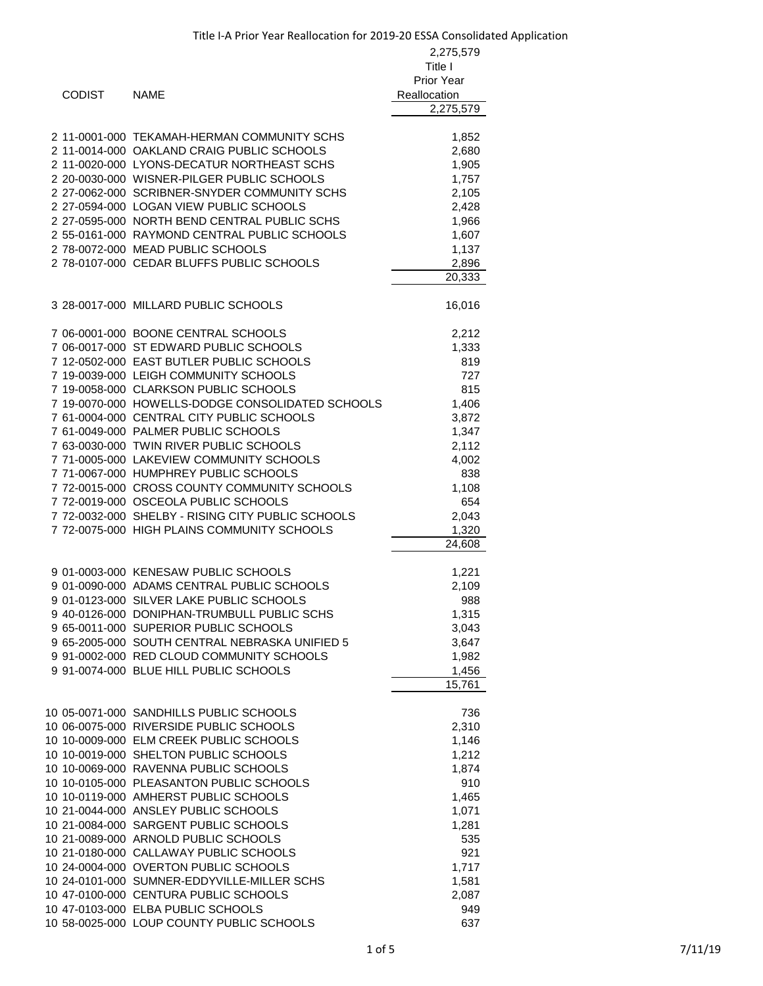| <b>CODIST</b> | <b>NAME</b>                                                                                                                                                                                                                                                                                                                                                                                                                                                                                                                                                                                                                                                                                 | 2,275,579<br>Title I<br>Prior Year<br>Reallocation<br>2,275,579                                                                     |
|---------------|---------------------------------------------------------------------------------------------------------------------------------------------------------------------------------------------------------------------------------------------------------------------------------------------------------------------------------------------------------------------------------------------------------------------------------------------------------------------------------------------------------------------------------------------------------------------------------------------------------------------------------------------------------------------------------------------|-------------------------------------------------------------------------------------------------------------------------------------|
|               | 2 11-0001-000 TEKAMAH-HERMAN COMMUNITY SCHS<br>2 11-0014-000 OAKLAND CRAIG PUBLIC SCHOOLS<br>2 11-0020-000 LYONS-DECATUR NORTHEAST SCHS<br>2 20-0030-000 WISNER-PILGER PUBLIC SCHOOLS<br>2 27-0062-000 SCRIBNER-SNYDER COMMUNITY SCHS<br>2 27-0594-000 LOGAN VIEW PUBLIC SCHOOLS<br>2 27-0595-000 NORTH BEND CENTRAL PUBLIC SCHS<br>2 55-0161-000 RAYMOND CENTRAL PUBLIC SCHOOLS<br>2 78-0072-000 MEAD PUBLIC SCHOOLS<br>2 78-0107-000 CEDAR BLUFFS PUBLIC SCHOOLS                                                                                                                                                                                                                          | 1,852<br>2,680<br>1,905<br>1,757<br>2,105<br>2,428<br>1,966<br>1,607<br>1,137<br>2,896<br>20,333                                    |
|               | 3 28-0017-000 MILLARD PUBLIC SCHOOLS                                                                                                                                                                                                                                                                                                                                                                                                                                                                                                                                                                                                                                                        | 16,016                                                                                                                              |
|               | 7 06-0001-000 BOONE CENTRAL SCHOOLS<br>7 06-0017-000 ST EDWARD PUBLIC SCHOOLS<br>7 12-0502-000 EAST BUTLER PUBLIC SCHOOLS<br>7 19-0039-000 LEIGH COMMUNITY SCHOOLS<br>7 19-0058-000 CLARKSON PUBLIC SCHOOLS<br>7 19-0070-000 HOWELLS-DODGE CONSOLIDATED SCHOOLS<br>7 61-0004-000 CENTRAL CITY PUBLIC SCHOOLS<br>7 61-0049-000 PALMER PUBLIC SCHOOLS<br>7 63-0030-000 TWIN RIVER PUBLIC SCHOOLS<br>7 71-0005-000 LAKEVIEW COMMUNITY SCHOOLS<br>7 71-0067-000 HUMPHREY PUBLIC SCHOOLS<br>7 72-0015-000 CROSS COUNTY COMMUNITY SCHOOLS<br>7 72-0019-000 OSCEOLA PUBLIC SCHOOLS<br>7 72-0032-000 SHELBY - RISING CITY PUBLIC SCHOOLS<br>7 72-0075-000 HIGH PLAINS COMMUNITY SCHOOLS             | 2,212<br>1,333<br>819<br>727<br>815<br>1,406<br>3,872<br>1,347<br>2,112<br>4,002<br>838<br>1,108<br>654<br>2,043<br>1,320<br>24,608 |
|               | 9 01-0003-000 KENESAW PUBLIC SCHOOLS<br>9 01-0090-000 ADAMS CENTRAL PUBLIC SCHOOLS<br>9 01-0123-000 SILVER LAKE PUBLIC SCHOOLS<br>9 40-0126-000 DONIPHAN-TRUMBULL PUBLIC SCHS<br>9 65-0011-000 SUPERIOR PUBLIC SCHOOLS<br>9 65-2005-000 SOUTH CENTRAL NEBRASKA UNIFIED 5<br>9 91-0002-000 RED CLOUD COMMUNITY SCHOOLS<br>9 91-0074-000 BLUE HILL PUBLIC SCHOOLS                                                                                                                                                                                                                                                                                                                             | 1,221<br>2,109<br>988<br>1,315<br>3,043<br>3,647<br>1,982<br>1,456<br>15,761                                                        |
|               | 10 05-0071-000 SANDHILLS PUBLIC SCHOOLS<br>10 06-0075-000 RIVERSIDE PUBLIC SCHOOLS<br>10 10-0009-000 ELM CREEK PUBLIC SCHOOLS<br>10 10-0019-000 SHELTON PUBLIC SCHOOLS<br>10 10-0069-000 RAVENNA PUBLIC SCHOOLS<br>10 10-0105-000 PLEASANTON PUBLIC SCHOOLS<br>10 10-0119-000 AMHERST PUBLIC SCHOOLS<br>10 21-0044-000 ANSLEY PUBLIC SCHOOLS<br>10 21-0084-000 SARGENT PUBLIC SCHOOLS<br>10 21-0089-000 ARNOLD PUBLIC SCHOOLS<br>10 21-0180-000 CALLAWAY PUBLIC SCHOOLS<br>10 24-0004-000 OVERTON PUBLIC SCHOOLS<br>10 24-0101-000 SUMNER-EDDYVILLE-MILLER SCHS<br>10 47-0100-000 CENTURA PUBLIC SCHOOLS<br>10 47-0103-000 ELBA PUBLIC SCHOOLS<br>10 58-0025-000 LOUP COUNTY PUBLIC SCHOOLS | 736<br>2,310<br>1,146<br>1,212<br>1,874<br>910<br>1,465<br>1,071<br>1,281<br>535<br>921<br>1,717<br>1,581<br>2,087<br>949<br>637    |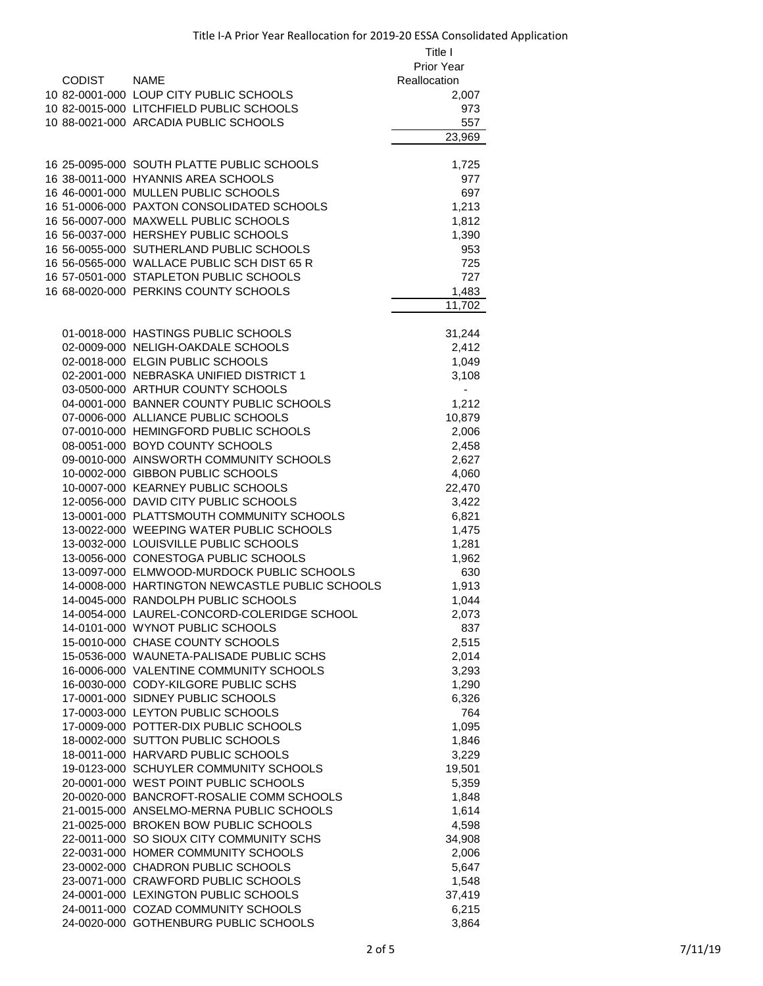|               |                                                                              | Title I        |
|---------------|------------------------------------------------------------------------------|----------------|
|               |                                                                              | Prior Year     |
| <b>CODIST</b> | <b>NAME</b>                                                                  | Reallocation   |
|               | 10 82-0001-000 LOUP CITY PUBLIC SCHOOLS                                      | 2,007          |
|               | 10 82-0015-000 LITCHFIELD PUBLIC SCHOOLS                                     | 973            |
|               | 10 88-0021-000 ARCADIA PUBLIC SCHOOLS                                        | 557            |
|               |                                                                              | 23,969         |
|               | 16 25-0095-000 SOUTH PLATTE PUBLIC SCHOOLS                                   | 1,725          |
|               | 16 38-0011-000 HYANNIS AREA SCHOOLS                                          | 977            |
|               | 16 46-0001-000 MULLEN PUBLIC SCHOOLS                                         | 697            |
|               | 16 51-0006-000 PAXTON CONSOLIDATED SCHOOLS                                   | 1,213          |
|               | 16 56-0007-000 MAXWELL PUBLIC SCHOOLS                                        | 1,812          |
|               | 16 56-0037-000 HERSHEY PUBLIC SCHOOLS                                        | 1,390          |
|               | 16 56-0055-000 SUTHERLAND PUBLIC SCHOOLS                                     | 953            |
|               | 16 56-0565-000 WALLACE PUBLIC SCH DIST 65 R                                  | 725            |
|               | 16 57-0501-000 STAPLETON PUBLIC SCHOOLS                                      | 727            |
|               | 16 68-0020-000 PERKINS COUNTY SCHOOLS                                        | 1,483          |
|               |                                                                              | 11,702         |
|               | 01-0018-000 HASTINGS PUBLIC SCHOOLS                                          | 31,244         |
|               | 02-0009-000 NELIGH-OAKDALE SCHOOLS                                           | 2,412          |
|               | 02-0018-000 ELGIN PUBLIC SCHOOLS                                             | 1,049          |
|               | 02-2001-000 NEBRASKA UNIFIED DISTRICT 1                                      | 3,108          |
|               | 03-0500-000 ARTHUR COUNTY SCHOOLS                                            | ۰              |
|               | 04-0001-000 BANNER COUNTY PUBLIC SCHOOLS                                     | 1,212          |
|               | 07-0006-000 ALLIANCE PUBLIC SCHOOLS                                          | 10,879         |
|               | 07-0010-000 HEMINGFORD PUBLIC SCHOOLS                                        | 2,006          |
|               | 08-0051-000 BOYD COUNTY SCHOOLS                                              | 2,458          |
|               | 09-0010-000 AINSWORTH COMMUNITY SCHOOLS                                      | 2,627          |
|               | 10-0002-000 GIBBON PUBLIC SCHOOLS                                            | 4,060          |
|               | 10-0007-000 KEARNEY PUBLIC SCHOOLS<br>12-0056-000 DAVID CITY PUBLIC SCHOOLS  | 22,470         |
|               | 13-0001-000 PLATTSMOUTH COMMUNITY SCHOOLS                                    | 3,422<br>6,821 |
|               | 13-0022-000 WEEPING WATER PUBLIC SCHOOLS                                     | 1,475          |
|               | 13-0032-000 LOUISVILLE PUBLIC SCHOOLS                                        | 1,281          |
|               | 13-0056-000 CONESTOGA PUBLIC SCHOOLS                                         | 1,962          |
|               | 13-0097-000 ELMWOOD-MURDOCK PUBLIC SCHOOLS                                   | 630            |
|               | 14-0008-000 HARTINGTON NEWCASTLE PUBLIC SCHOOLS                              | 1,913          |
|               | 14-0045-000 RANDOLPH PUBLIC SCHOOLS                                          | 1,044          |
|               | 14-0054-000 LAUREL-CONCORD-COLERIDGE SCHOOL                                  | 2,073          |
|               | 14-0101-000 WYNOT PUBLIC SCHOOLS                                             | 837            |
|               | 15-0010-000 CHASE COUNTY SCHOOLS                                             | 2,515          |
|               | 15-0536-000 WAUNETA-PALISADE PUBLIC SCHS                                     | 2,014          |
|               | 16-0006-000 VALENTINE COMMUNITY SCHOOLS                                      | 3,293          |
|               | 16-0030-000 CODY-KILGORE PUBLIC SCHS<br>17-0001-000 SIDNEY PUBLIC SCHOOLS    | 1,290          |
|               | 17-0003-000 LEYTON PUBLIC SCHOOLS                                            | 6,326<br>764   |
|               | 17-0009-000 POTTER-DIX PUBLIC SCHOOLS                                        | 1,095          |
|               | 18-0002-000 SUTTON PUBLIC SCHOOLS                                            | 1,846          |
|               | 18-0011-000 HARVARD PUBLIC SCHOOLS                                           | 3,229          |
|               | 19-0123-000 SCHUYLER COMMUNITY SCHOOLS                                       | 19,501         |
|               | 20-0001-000 WEST POINT PUBLIC SCHOOLS                                        | 5,359          |
|               | 20-0020-000 BANCROFT-ROSALIE COMM SCHOOLS                                    | 1,848          |
|               | 21-0015-000 ANSELMO-MERNA PUBLIC SCHOOLS                                     | 1,614          |
|               | 21-0025-000 BROKEN BOW PUBLIC SCHOOLS                                        | 4,598          |
|               | 22-0011-000 SO SIOUX CITY COMMUNITY SCHS                                     | 34,908         |
|               | 22-0031-000 HOMER COMMUNITY SCHOOLS                                          | 2,006          |
|               | 23-0002-000 CHADRON PUBLIC SCHOOLS                                           | 5,647          |
|               | 23-0071-000 CRAWFORD PUBLIC SCHOOLS                                          | 1,548          |
|               | 24-0001-000 LEXINGTON PUBLIC SCHOOLS                                         | 37,419         |
|               | 24-0011-000 COZAD COMMUNITY SCHOOLS<br>24-0020-000 GOTHENBURG PUBLIC SCHOOLS | 6,215<br>3,864 |
|               |                                                                              |                |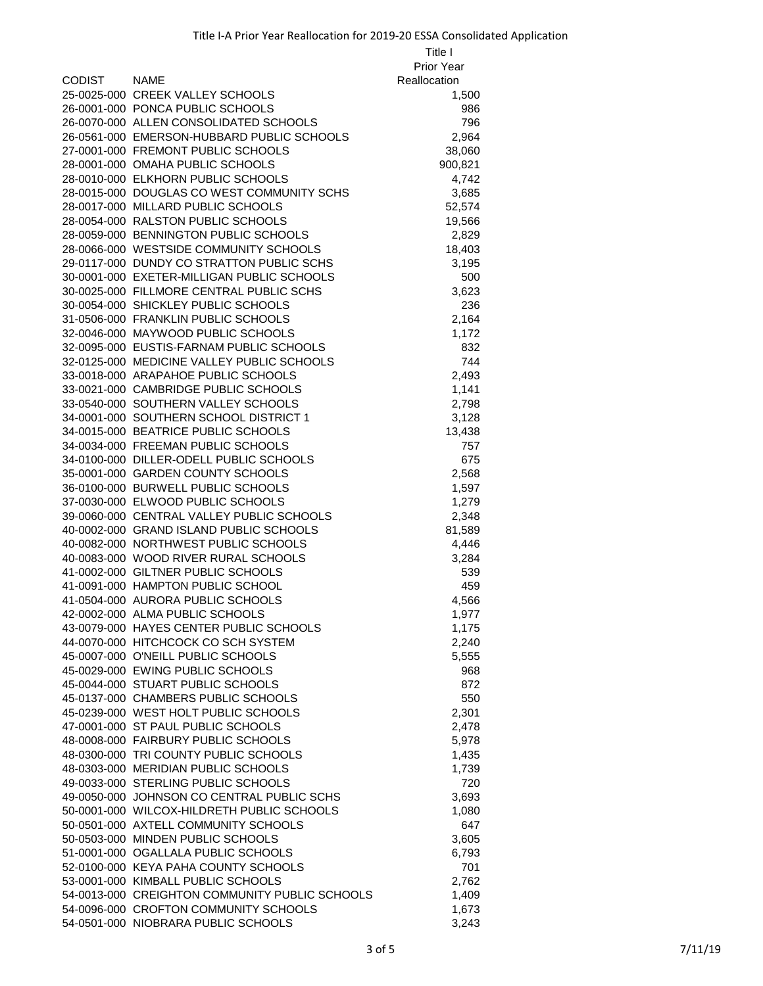|               |                                                                                      | Title I           |
|---------------|--------------------------------------------------------------------------------------|-------------------|
|               |                                                                                      | <b>Prior Year</b> |
| <b>CODIST</b> | <b>NAME</b>                                                                          | Reallocation      |
|               | 25-0025-000 CREEK VALLEY SCHOOLS                                                     | 1,500             |
|               | 26-0001-000 PONCA PUBLIC SCHOOLS                                                     | 986               |
|               | 26-0070-000 ALLEN CONSOLIDATED SCHOOLS                                               | 796               |
|               | 26-0561-000 EMERSON-HUBBARD PUBLIC SCHOOLS                                           | 2,964             |
|               | 27-0001-000 FREMONT PUBLIC SCHOOLS                                                   | 38,060            |
|               | 28-0001-000 OMAHA PUBLIC SCHOOLS                                                     | 900,821           |
|               | 28-0010-000 ELKHORN PUBLIC SCHOOLS                                                   | 4,742             |
|               | 28-0015-000 DOUGLAS CO WEST COMMUNITY SCHS                                           | 3,685             |
|               | 28-0017-000 MILLARD PUBLIC SCHOOLS                                                   | 52,574            |
|               | 28-0054-000 RALSTON PUBLIC SCHOOLS                                                   | 19,566            |
|               | 28-0059-000 BENNINGTON PUBLIC SCHOOLS                                                | 2,829             |
|               | 28-0066-000 WESTSIDE COMMUNITY SCHOOLS                                               | 18,403            |
|               | 29-0117-000 DUNDY CO STRATTON PUBLIC SCHS                                            | 3,195             |
|               | 30-0001-000 EXETER-MILLIGAN PUBLIC SCHOOLS                                           | 500               |
|               | 30-0025-000 FILLMORE CENTRAL PUBLIC SCHS                                             | 3,623             |
|               | 30-0054-000 SHICKLEY PUBLIC SCHOOLS                                                  | 236               |
|               | 31-0506-000 FRANKLIN PUBLIC SCHOOLS                                                  | 2,164             |
|               | 32-0046-000 MAYWOOD PUBLIC SCHOOLS                                                   | 1,172             |
|               | 32-0095-000 EUSTIS-FARNAM PUBLIC SCHOOLS                                             | 832               |
|               | 32-0125-000 MEDICINE VALLEY PUBLIC SCHOOLS                                           | 744               |
|               | 33-0018-000 ARAPAHOE PUBLIC SCHOOLS                                                  | 2,493             |
|               | 33-0021-000 CAMBRIDGE PUBLIC SCHOOLS                                                 | 1,141             |
|               | 33-0540-000 SOUTHERN VALLEY SCHOOLS                                                  | 2,798             |
|               | 34-0001-000 SOUTHERN SCHOOL DISTRICT 1                                               | 3,128             |
|               | 34-0015-000 BEATRICE PUBLIC SCHOOLS                                                  | 13,438            |
|               | 34-0034-000 FREEMAN PUBLIC SCHOOLS                                                   | 757               |
|               | 34-0100-000 DILLER-ODELL PUBLIC SCHOOLS                                              | 675               |
|               | 35-0001-000 GARDEN COUNTY SCHOOLS                                                    | 2,568             |
|               | 36-0100-000 BURWELL PUBLIC SCHOOLS                                                   | 1,597             |
|               | 37-0030-000 ELWOOD PUBLIC SCHOOLS                                                    | 1,279             |
|               | 39-0060-000 CENTRAL VALLEY PUBLIC SCHOOLS                                            | 2,348             |
|               | 40-0002-000 GRAND ISLAND PUBLIC SCHOOLS                                              | 81,589            |
|               | 40-0082-000 NORTHWEST PUBLIC SCHOOLS                                                 | 4,446             |
|               | 40-0083-000 WOOD RIVER RURAL SCHOOLS                                                 | 3,284             |
|               | 41-0002-000 GILTNER PUBLIC SCHOOLS                                                   | 539               |
|               | 41-0091-000 HAMPTON PUBLIC SCHOOL                                                    | 459               |
|               | 41-0504-000 AURORA PUBLIC SCHOOLS                                                    | 4,566             |
|               | 42-0002-000 ALMA PUBLIC SCHOOLS                                                      | 1,977             |
|               | 43-0079-000 HAYES CENTER PUBLIC SCHOOLS                                              | 1,175             |
|               | 44-0070-000 HITCHCOCK CO SCH SYSTEM                                                  | 2,240             |
|               | 45-0007-000 O'NEILL PUBLIC SCHOOLS                                                   | 5,555             |
|               | 45-0029-000 EWING PUBLIC SCHOOLS                                                     | 968               |
|               | 45-0044-000 STUART PUBLIC SCHOOLS                                                    | 872               |
|               | 45-0137-000 CHAMBERS PUBLIC SCHOOLS                                                  | 550               |
|               | 45-0239-000 WEST HOLT PUBLIC SCHOOLS                                                 | 2,301             |
|               | 47-0001-000 ST PAUL PUBLIC SCHOOLS                                                   | 2,478             |
|               | 48-0008-000 FAIRBURY PUBLIC SCHOOLS                                                  | 5,978             |
|               | 48-0300-000 TRI COUNTY PUBLIC SCHOOLS                                                | 1,435             |
|               | 48-0303-000 MERIDIAN PUBLIC SCHOOLS                                                  | 1,739             |
|               | 49-0033-000 STERLING PUBLIC SCHOOLS                                                  | 720               |
|               | 49-0050-000 JOHNSON CO CENTRAL PUBLIC SCHS                                           | 3,693             |
|               | 50-0001-000 WILCOX-HILDRETH PUBLIC SCHOOLS                                           | 1,080             |
|               | 50-0501-000 AXTELL COMMUNITY SCHOOLS                                                 | 647               |
|               | 50-0503-000 MINDEN PUBLIC SCHOOLS                                                    | 3,605             |
|               | 51-0001-000 OGALLALA PUBLIC SCHOOLS                                                  | 6,793             |
|               | 52-0100-000 KEYA PAHA COUNTY SCHOOLS                                                 | 701               |
|               | 53-0001-000 KIMBALL PUBLIC SCHOOLS<br>54-0013-000 CREIGHTON COMMUNITY PUBLIC SCHOOLS | 2,762             |
|               | 54-0096-000 CROFTON COMMUNITY SCHOOLS                                                | 1,409<br>1,673    |
|               |                                                                                      |                   |

54-0501-000 NIOBRARA PUBLIC SCHOOLS 3,243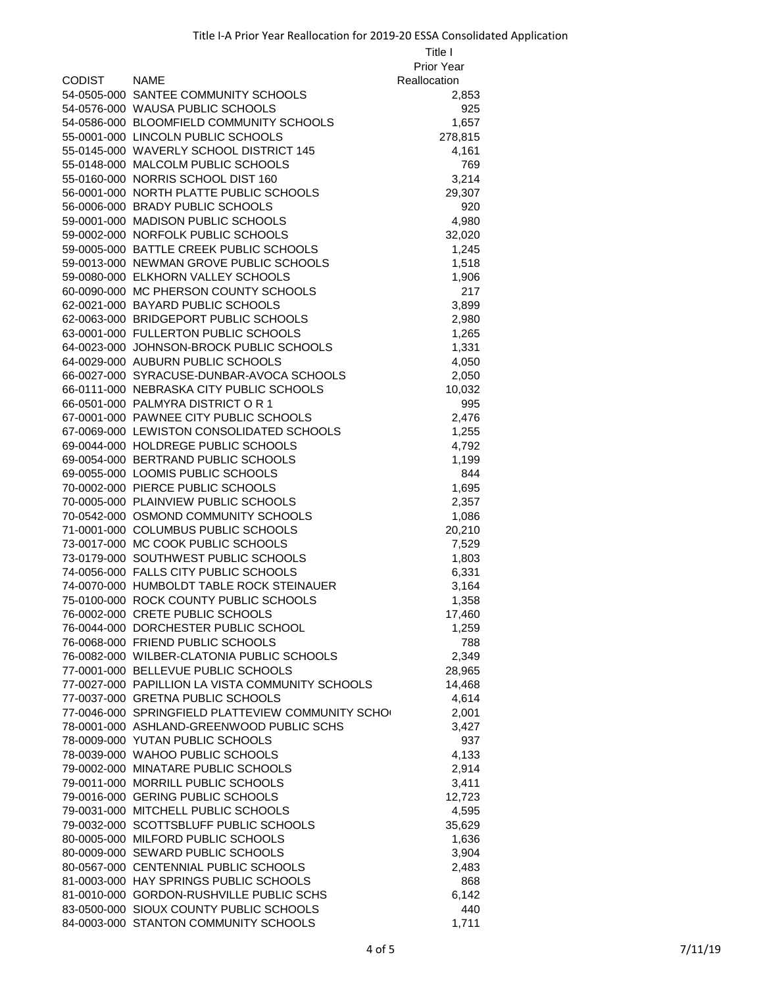|             |                                                   | Title I      |
|-------------|---------------------------------------------------|--------------|
|             |                                                   | Prior Year   |
| CODIST NAME |                                                   | Reallocation |
|             | 54-0505-000 SANTEE COMMUNITY SCHOOLS              | 2,853        |
|             | 54-0576-000 WAUSA PUBLIC SCHOOLS                  | 925          |
|             | 54-0586-000 BLOOMFIELD COMMUNITY SCHOOLS          | 1,657        |
|             | 55-0001-000 LINCOLN PUBLIC SCHOOLS                | 278,815      |
|             | 55-0145-000 WAVERLY SCHOOL DISTRICT 145           | 4,161        |
|             | 55-0148-000 MALCOLM PUBLIC SCHOOLS                | 769          |
|             | 55-0160-000 NORRIS SCHOOL DIST 160                | 3,214        |
|             | 56-0001-000 NORTH PLATTE PUBLIC SCHOOLS           | 29,307       |
|             | 56-0006-000 BRADY PUBLIC SCHOOLS                  | 920          |
|             | 59-0001-000 MADISON PUBLIC SCHOOLS                | 4,980        |
|             | 59-0002-000 NORFOLK PUBLIC SCHOOLS                | 32,020       |
|             | 59-0005-000 BATTLE CREEK PUBLIC SCHOOLS           | 1,245        |
|             | 59-0013-000 NEWMAN GROVE PUBLIC SCHOOLS           | 1,518        |
|             | 59-0080-000 ELKHORN VALLEY SCHOOLS                | 1,906        |
|             | 60-0090-000 MC PHERSON COUNTY SCHOOLS             | 217          |
|             | 62-0021-000 BAYARD PUBLIC SCHOOLS                 | 3,899        |
|             | 62-0063-000 BRIDGEPORT PUBLIC SCHOOLS             | 2,980        |
|             | 63-0001-000 FULLERTON PUBLIC SCHOOLS              | 1,265        |
|             | 64-0023-000 JOHNSON-BROCK PUBLIC SCHOOLS          | 1,331        |
|             | 64-0029-000 AUBURN PUBLIC SCHOOLS                 | 4,050        |
|             | 66-0027-000 SYRACUSE-DUNBAR-AVOCA SCHOOLS         | 2,050        |
|             | 66-0111-000 NEBRASKA CITY PUBLIC SCHOOLS          | 10,032       |
|             | 66-0501-000 PALMYRA DISTRICT OR 1                 | 995          |
|             | 67-0001-000 PAWNEE CITY PUBLIC SCHOOLS            | 2,476        |
|             | 67-0069-000 LEWISTON CONSOLIDATED SCHOOLS         | 1,255        |
|             | 69-0044-000 HOLDREGE PUBLIC SCHOOLS               | 4,792        |
|             | 69-0054-000 BERTRAND PUBLIC SCHOOLS               | 1,199        |
|             | 69-0055-000 LOOMIS PUBLIC SCHOOLS                 | 844          |
|             | 70-0002-000 PIERCE PUBLIC SCHOOLS                 | 1,695        |
|             | 70-0005-000 PLAINVIEW PUBLIC SCHOOLS              | 2,357        |
|             | 70-0542-000 OSMOND COMMUNITY SCHOOLS              | 1,086        |
|             | 71-0001-000 COLUMBUS PUBLIC SCHOOLS               | 20,210       |
|             | 73-0017-000 MC COOK PUBLIC SCHOOLS                | 7,529        |
|             | 73-0179-000 SOUTHWEST PUBLIC SCHOOLS              | 1,803        |
|             | 74-0056-000 FALLS CITY PUBLIC SCHOOLS             | 6,331        |
|             | 74-0070-000 HUMBOLDT TABLE ROCK STEINAUER         | 3,164        |
|             | 75-0100-000 ROCK COUNTY PUBLIC SCHOOLS            | 1,358        |
|             | 76-0002-000 CRETE PUBLIC SCHOOLS                  | 17,460       |
|             | 76-0044-000 DORCHESTER PUBLIC SCHOOL              | 1,259        |
|             | 76-0068-000 FRIEND PUBLIC SCHOOLS                 | 788          |
|             | 76-0082-000 WILBER-CLATONIA PUBLIC SCHOOLS        | 2,349        |
|             | 77-0001-000 BELLEVUE PUBLIC SCHOOLS               | 28,965       |
|             | 77-0027-000 PAPILLION LA VISTA COMMUNITY SCHOOLS  | 14,468       |
|             | 77-0037-000 GRETNA PUBLIC SCHOOLS                 | 4,614        |
|             | 77-0046-000 SPRINGFIELD PLATTEVIEW COMMUNITY SCHO | 2,001        |
|             | 78-0001-000 ASHLAND-GREENWOOD PUBLIC SCHS         | 3,427        |
|             | 78-0009-000 YUTAN PUBLIC SCHOOLS                  | 937          |
|             | 78-0039-000 WAHOO PUBLIC SCHOOLS                  | 4,133        |
|             | 79-0002-000 MINATARE PUBLIC SCHOOLS               | 2,914        |
|             | 79-0011-000 MORRILL PUBLIC SCHOOLS                | 3,411        |
|             | 79-0016-000 GERING PUBLIC SCHOOLS                 | 12,723       |
|             | 79-0031-000 MITCHELL PUBLIC SCHOOLS               | 4,595        |
|             | 79-0032-000 SCOTTSBLUFF PUBLIC SCHOOLS            | 35,629       |
|             | 80-0005-000 MILFORD PUBLIC SCHOOLS                | 1,636        |
|             | 80-0009-000 SEWARD PUBLIC SCHOOLS                 | 3,904        |
|             | 80-0567-000 CENTENNIAL PUBLIC SCHOOLS             | 2,483        |
|             | 81-0003-000 HAY SPRINGS PUBLIC SCHOOLS            | 868          |
|             | 81-0010-000 GORDON-RUSHVILLE PUBLIC SCHS          | 6,142        |
|             | 83-0500-000 SIOUX COUNTY PUBLIC SCHOOLS           | 440          |
|             | 84-0003-000 STANTON COMMUNITY SCHOOLS             | 1,711        |